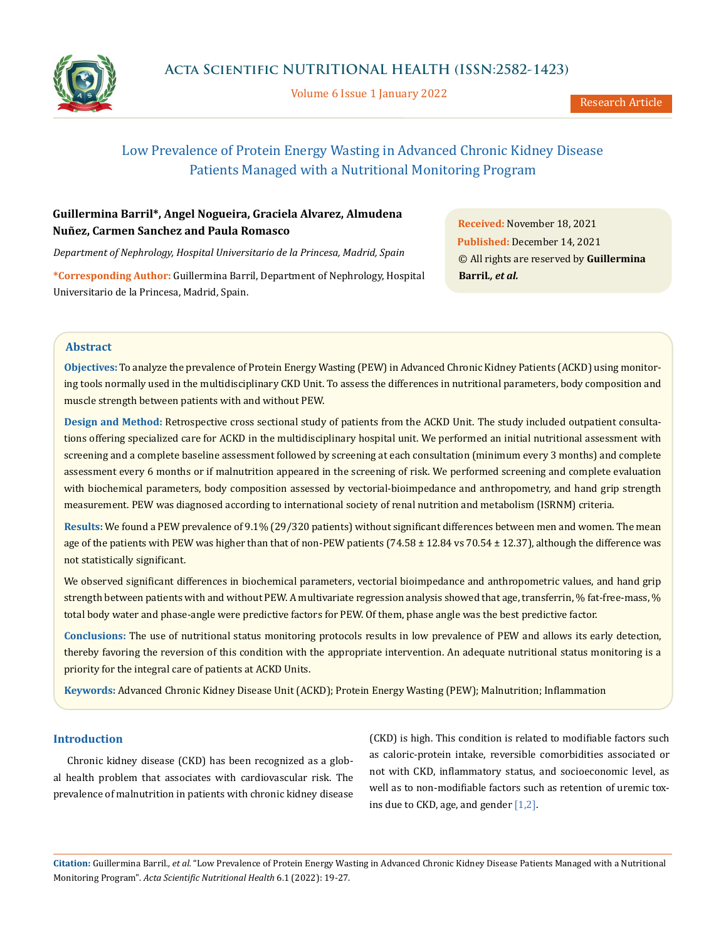

Volume 6 Issue 1 January 2022

Research Article

# Low Prevalence of Protein Energy Wasting in Advanced Chronic Kidney Disease Patients Managed with a Nutritional Monitoring Program

# **Guillermina Barril\*, Angel Nogueira, Graciela Alvarez, Almudena Nuñez, Carmen Sanchez and Paula Romasco**

*Department of Nephrology, Hospital Universitario de la Princesa, Madrid, Spain*

**\*Corresponding Author:** Guillermina Barril, Department of Nephrology, Hospital Universitario de la Princesa, Madrid, Spain.

**Received:** November 18, 2021 **Published:** December 14, 2021 © All rights are reserved by **Guillermina Barril***., et al.*

# **Abstract**

**Objectives:** To analyze the prevalence of Protein Energy Wasting (PEW) in Advanced Chronic Kidney Patients (ACKD) using monitoring tools normally used in the multidisciplinary CKD Unit. To assess the differences in nutritional parameters, body composition and muscle strength between patients with and without PEW.

**Design and Method:** Retrospective cross sectional study of patients from the ACKD Unit. The study included outpatient consultations offering specialized care for ACKD in the multidisciplinary hospital unit. We performed an initial nutritional assessment with screening and a complete baseline assessment followed by screening at each consultation (minimum every 3 months) and complete assessment every 6 months or if malnutrition appeared in the screening of risk. We performed screening and complete evaluation with biochemical parameters, body composition assessed by vectorial-bioimpedance and anthropometry, and hand grip strength measurement. PEW was diagnosed according to international society of renal nutrition and metabolism (ISRNM) criteria.

**Results:** We found a PEW prevalence of 9.1% (29/320 patients) without significant differences between men and women. The mean age of the patients with PEW was higher than that of non-PEW patients  $(74.58 \pm 12.84 \text{ vs } 70.54 \pm 12.37)$ , although the difference was not statistically significant.

We observed significant differences in biochemical parameters, vectorial bioimpedance and anthropometric values, and hand grip strength between patients with and without PEW. A multivariate regression analysis showed that age, transferrin, % fat-free-mass, % total body water and phase-angle were predictive factors for PEW. Of them, phase angle was the best predictive factor.

**Conclusions:** The use of nutritional status monitoring protocols results in low prevalence of PEW and allows its early detection, thereby favoring the reversion of this condition with the appropriate intervention. An adequate nutritional status monitoring is a priority for the integral care of patients at ACKD Units.

**Keywords:** Advanced Chronic Kidney Disease Unit (ACKD); Protein Energy Wasting (PEW); Malnutrition; Inflammation

## **Introduction**

Chronic kidney disease (CKD) has been recognized as a global health problem that associates with cardiovascular risk. The prevalence of malnutrition in patients with chronic kidney disease

(CKD) is high. This condition is related to modifiable factors such as caloric-protein intake, reversible comorbidities associated or not with CKD, inflammatory status, and socioeconomic level, as well as to non-modifiable factors such as retention of uremic toxins due to CKD, age, and gender [1,2].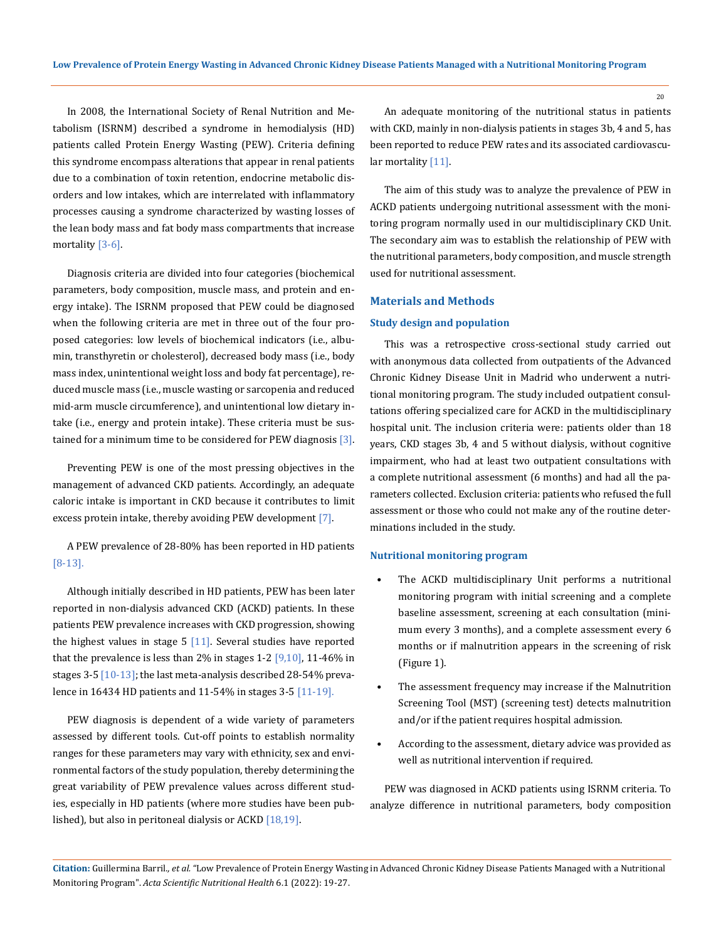In 2008, the International Society of Renal Nutrition and Metabolism (ISRNM) described a syndrome in hemodialysis (HD) patients called Protein Energy Wasting (PEW). Criteria defining this syndrome encompass alterations that appear in renal patients due to a combination of toxin retention, endocrine metabolic disorders and low intakes, which are interrelated with inflammatory processes causing a syndrome characterized by wasting losses of the lean body mass and fat body mass compartments that increase mortality [3-6].

Diagnosis criteria are divided into four categories (biochemical parameters, body composition, muscle mass, and protein and energy intake). The ISRNM proposed that PEW could be diagnosed when the following criteria are met in three out of the four proposed categories: low levels of biochemical indicators (i.e., albumin, transthyretin or cholesterol), decreased body mass (i.e., body mass index, unintentional weight loss and body fat percentage), reduced muscle mass (i.e., muscle wasting or sarcopenia and reduced mid-arm muscle circumference), and unintentional low dietary intake (i.e., energy and protein intake). These criteria must be sustained for a minimum time to be considered for PEW diagnosis [3].

Preventing PEW is one of the most pressing objectives in the management of advanced CKD patients. Accordingly, an adequate caloric intake is important in CKD because it contributes to limit excess protein intake, thereby avoiding PEW development [7].

A PEW prevalence of 28-80% has been reported in HD patients [8-13].

Although initially described in HD patients, PEW has been later reported in non-dialysis advanced CKD (ACKD) patients. In these patients PEW prevalence increases with CKD progression, showing the highest values in stage  $5$  [11]. Several studies have reported that the prevalence is less than  $2\%$  in stages 1-2  $[9,10]$ , 11-46% in stages  $3-5$  [10-13]; the last meta-analysis described 28-54% prevalence in 16434 HD patients and 11-54% in stages 3-5 [11-19].

PEW diagnosis is dependent of a wide variety of parameters assessed by different tools. Cut-off points to establish normality ranges for these parameters may vary with ethnicity, sex and environmental factors of the study population, thereby determining the great variability of PEW prevalence values across different studies, especially in HD patients (where more studies have been published), but also in peritoneal dialysis or ACKD [18,19].

An adequate monitoring of the nutritional status in patients with CKD, mainly in non-dialysis patients in stages 3b, 4 and 5, has been reported to reduce PEW rates and its associated cardiovascular mortality [11].

The aim of this study was to analyze the prevalence of PEW in ACKD patients undergoing nutritional assessment with the monitoring program normally used in our multidisciplinary CKD Unit. The secondary aim was to establish the relationship of PEW with the nutritional parameters, body composition, and muscle strength used for nutritional assessment.

## **Materials and Methods**

#### **Study design and population**

This was a retrospective cross-sectional study carried out with anonymous data collected from outpatients of the Advanced Chronic Kidney Disease Unit in Madrid who underwent a nutritional monitoring program. The study included outpatient consultations offering specialized care for ACKD in the multidisciplinary hospital unit. The inclusion criteria were: patients older than 18 years, CKD stages 3b, 4 and 5 without dialysis, without cognitive impairment, who had at least two outpatient consultations with a complete nutritional assessment (6 months) and had all the parameters collected. Exclusion criteria: patients who refused the full assessment or those who could not make any of the routine determinations included in the study.

#### **Nutritional monitoring program**

- The ACKD multidisciplinary Unit performs a nutritional monitoring program with initial screening and a complete baseline assessment, screening at each consultation (minimum every 3 months), and a complete assessment every 6 months or if malnutrition appears in the screening of risk (Figure 1).
- The assessment frequency may increase if the Malnutrition Screening Tool (MST) (screening test) detects malnutrition and/or if the patient requires hospital admission.
- According to the assessment, dietary advice was provided as well as nutritional intervention if required.

PEW was diagnosed in ACKD patients using ISRNM criteria. To analyze difference in nutritional parameters, body composition

**Citation:** Guillermina Barril*., et al.* "Low Prevalence of Protein Energy Wasting in Advanced Chronic Kidney Disease Patients Managed with a Nutritional Monitoring Program". *Acta Scientific Nutritional Health* 6.1 (2022): 19-27.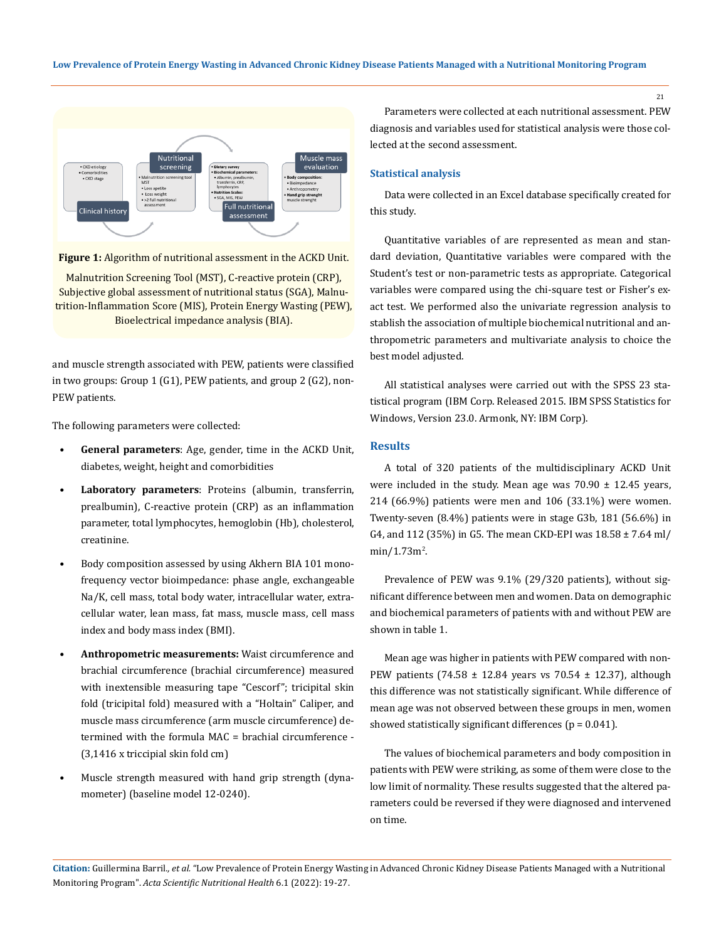**Low Prevalence of Protein Energy Wasting in Advanced Chronic Kidney Disease Patients Managed with a Nutritional Monitoring Program**



**Figure 1:** Algorithm of nutritional assessment in the ACKD Unit.

Malnutrition Screening Tool (MST), C-reactive protein (CRP), Subjective global assessment of nutritional status (SGA), Malnutrition-Inflammation Score (MIS), Protein Energy Wasting (PEW), Bioelectrical impedance analysis (BIA).

and muscle strength associated with PEW, patients were classified in two groups: Group 1 (G1), PEW patients, and group 2 (G2), non-PEW patients.

The following parameters were collected:

- **General parameters**: Age, gender, time in the ACKD Unit, diabetes, weight, height and comorbidities
- **Laboratory parameters**: Proteins (albumin, transferrin, prealbumin), C-reactive protein (CRP) as an inflammation parameter, total lymphocytes, hemoglobin (Hb), cholesterol, creatinine.
- Body composition assessed by using Akhern BIA 101 monofrequency vector bioimpedance: phase angle, exchangeable Na/K, cell mass, total body water, intracellular water, extracellular water, lean mass, fat mass, muscle mass, cell mass index and body mass index (BMI).
- **Anthropometric measurements:** Waist circumference and brachial circumference (brachial circumference) measured with inextensible measuring tape "Cescorf"; tricipital skin fold (tricipital fold) measured with a "Holtain" Caliper, and muscle mass circumference (arm muscle circumference) determined with the formula MAC = brachial circumference - (3,1416 x triccipial skin fold cm)
- Muscle strength measured with hand grip strength (dynamometer) (baseline model 12-0240).

Parameters were collected at each nutritional assessment. PEW diagnosis and variables used for statistical analysis were those collected at the second assessment.

## **Statistical analysis**

Data were collected in an Excel database specifically created for this study.

Quantitative variables of are represented as mean and standard deviation, Quantitative variables were compared with the Student's test or non-parametric tests as appropriate. Categorical variables were compared using the chi-square test or Fisher's exact test. We performed also the univariate regression analysis to stablish the association of multiple biochemical nutritional and anthropometric parameters and multivariate analysis to choice the best model adjusted.

All statistical analyses were carried out with the SPSS 23 statistical program (IBM Corp. Released 2015. IBM SPSS Statistics for Windows, Version 23.0. Armonk, NY: IBM Corp).

#### **Results**

A total of 320 patients of the multidisciplinary ACKD Unit were included in the study. Mean age was  $70.90 \pm 12.45$  years, 214 (66.9%) patients were men and 106 (33.1%) were women. Twenty-seven (8.4%) patients were in stage G3b, 181 (56.6%) in G4, and 112 (35%) in G5. The mean CKD-EPI was 18.58 ± 7.64 ml/ min/1.73m<sup>2</sup>.

Prevalence of PEW was 9.1% (29/320 patients), without significant difference between men and women. Data on demographic and biochemical parameters of patients with and without PEW are shown in table 1.

Mean age was higher in patients with PEW compared with non-PEW patients (74.58 ± 12.84 years vs 70.54 ± 12.37), although this difference was not statistically significant. While difference of mean age was not observed between these groups in men, women showed statistically significant differences ( $p = 0.041$ ).

The values of biochemical parameters and body composition in patients with PEW were striking, as some of them were close to the low limit of normality. These results suggested that the altered parameters could be reversed if they were diagnosed and intervened on time.

**Citation:** Guillermina Barril*., et al.* "Low Prevalence of Protein Energy Wasting in Advanced Chronic Kidney Disease Patients Managed with a Nutritional Monitoring Program". *Acta Scientific Nutritional Health* 6.1 (2022): 19-27.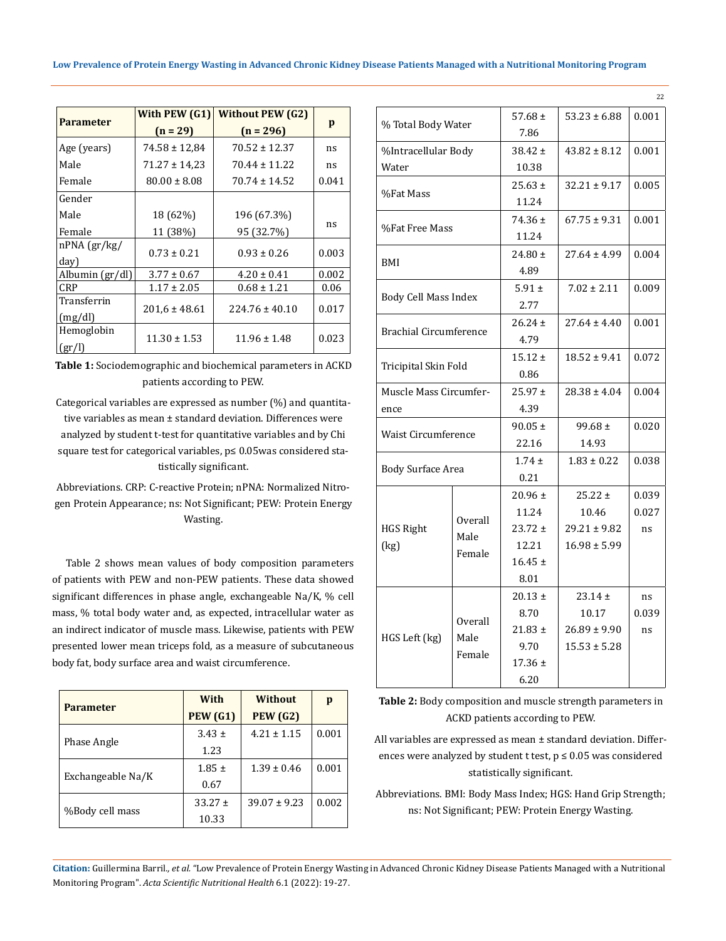|  | Low Prevalence of Protein Energy Wasting in Advanced Chronic Kidney Disease Patients Managed with a Nutritional Monitoring Program |  |
|--|------------------------------------------------------------------------------------------------------------------------------------|--|
|  |                                                                                                                                    |  |

|                            | With PEW (G1)     | <b>Without PEW (G2)</b> |       |
|----------------------------|-------------------|-------------------------|-------|
| <b>Parameter</b>           | $(n = 29)$        | $(n = 296)$             | p     |
| Age (years)                | $74.58 \pm 12.84$ | $70.52 \pm 12.37$       | ns    |
| Male                       | $71.27 \pm 14.23$ | $70.44 \pm 11.22$       | ns    |
| Female                     | $80.00 \pm 8.08$  | $70.74 \pm 14.52$       | 0.041 |
| Gender                     |                   |                         |       |
| Male                       | 18 (62%)          | 196 (67.3%)             |       |
| Female                     | 11 (38%)          | 95 (32.7%)              | ns    |
| $nPNA$ (gr/kg/<br>day)     | $0.73 \pm 0.21$   | $0.93 \pm 0.26$         | 0.003 |
| Albumin (gr/dl)            | $3.77 \pm 0.67$   | $4.20 \pm 0.41$         | 0.002 |
| <b>CRP</b>                 | $1.17 \pm 2.05$   | $0.68 \pm 1.21$         | 0.06  |
| Transferrin<br>(mg/dl)     | $201.6 \pm 48.61$ | $224.76 \pm 40.10$      | 0.017 |
| Hemoglobin<br>$\rm (gr/l)$ | $11.30 \pm 1.53$  | $11.96 \pm 1.48$        | 0.023 |

**Table 1:** Sociodemographic and biochemical parameters in ACKD patients according to PEW.

Categorical variables are expressed as number (%) and quantitative variables as mean ± standard deviation. Differences were analyzed by student t-test for quantitative variables and by Chi square test for categorical variables, p≤ 0.05was considered statistically significant.

Abbreviations. CRP: C-reactive Protein; nPNA: Normalized Nitrogen Protein Appearance; ns: Not Significant; PEW: Protein Energy Wasting.

Table 2 shows mean values of body composition parameters of patients with PEW and non-PEW patients. These data showed significant differences in phase angle, exchangeable Na/K, % cell mass, % total body water and, as expected, intracellular water as an indirect indicator of muscle mass. Likewise, patients with PEW presented lower mean triceps fold, as a measure of subcutaneous body fat, body surface area and waist circumference.

| <b>Parameter</b>  | With            | <b>Without</b>   | p     |
|-------------------|-----------------|------------------|-------|
|                   | <b>PEW (G1)</b> | <b>PEW (G2)</b>  |       |
|                   | $3.43 \pm$      | $4.21 \pm 1.15$  | 0.001 |
| Phase Angle       | 1.23            |                  |       |
|                   | $1.85 \pm$      | $1.39 \pm 0.46$  | 0.001 |
| Exchangeable Na/K | 0.67            |                  |       |
|                   | $33.27 \pm$     | $39.07 \pm 9.23$ | 0.002 |
| %Body cell mass   | 10.33           |                  |       |

| % Total Body Water            |                                  | 57.68 $\pm$ | $53.23 \pm 6.88$ | 0.001 |
|-------------------------------|----------------------------------|-------------|------------------|-------|
|                               |                                  | 7.86        |                  |       |
| %Intracellular Body           |                                  | $38.42 \pm$ | $43.82 \pm 8.12$ | 0.001 |
| Water                         |                                  | 10.38       |                  |       |
| %Fat Mass                     |                                  | $25.63 \pm$ | $32.21 \pm 9.17$ | 0.005 |
|                               |                                  | 11.24       |                  |       |
|                               |                                  | $74.36 \pm$ | $67.75 \pm 9.31$ | 0.001 |
| %Fat Free Mass                |                                  | 11.24       |                  |       |
|                               |                                  | $24.80 \pm$ | $27.64 \pm 4.99$ | 0.004 |
| BMI                           |                                  | 4.89        |                  |       |
|                               |                                  | $5.91 \pm$  | $7.02 \pm 2.11$  | 0.009 |
| Body Cell Mass Index          |                                  | 2.77        |                  |       |
|                               |                                  | $26.24 \pm$ | $27.64 \pm 4.40$ | 0.001 |
| <b>Brachial Circumference</b> |                                  | 4.79        |                  |       |
|                               |                                  |             | $18.52 \pm 9.41$ | 0.072 |
| Tricipital Skin Fold          |                                  | 0.86        |                  |       |
| Muscle Mass Circumfer-        |                                  | $25.97 \pm$ | $28.38 \pm 4.04$ | 0.004 |
| ence                          |                                  | 4.39        |                  |       |
|                               |                                  | $90.05 \pm$ | $99.68 \pm$      | 0.020 |
|                               | <b>Waist Circumference</b>       |             | 14.93            |       |
|                               |                                  |             | $1.83 \pm 0.22$  | 0.038 |
| <b>Body Surface Area</b>      |                                  | 0.21        |                  |       |
|                               |                                  | $20.96 \pm$ | $25.22 \pm$      | 0.039 |
|                               | Overall<br>Male<br>Female        | 11.24       | 10.46            | 0.027 |
| <b>HGS Right</b>              |                                  | $23.72 \pm$ | $29.21 \pm 9.82$ | ns    |
| (kg)                          |                                  | 12.21       | $16.98 \pm 5.99$ |       |
|                               |                                  | $16.45 \pm$ |                  |       |
|                               |                                  | 8.01        |                  |       |
|                               | <b>Overall</b><br>Male<br>Female | $20.13 \pm$ | $23.14 \pm$      | ns    |
|                               |                                  | 8.70        | 10.17            | 0.039 |
| HGS Left (kg)                 |                                  | $21.83 \pm$ | $26.89 \pm 9.90$ | ns    |
|                               |                                  | 9.70        | $15.53 \pm 5.28$ |       |
|                               |                                  | $17.36 \pm$ |                  |       |
|                               |                                  | 6.20        |                  |       |

22

**Table 2:** Body composition and muscle strength parameters in ACKD patients according to PEW.

All variables are expressed as mean ± standard deviation. Differences were analyzed by student t test,  $p \le 0.05$  was considered statistically significant.

Abbreviations. BMI: Body Mass Index; HGS: Hand Grip Strength; ns: Not Significant; PEW: Protein Energy Wasting.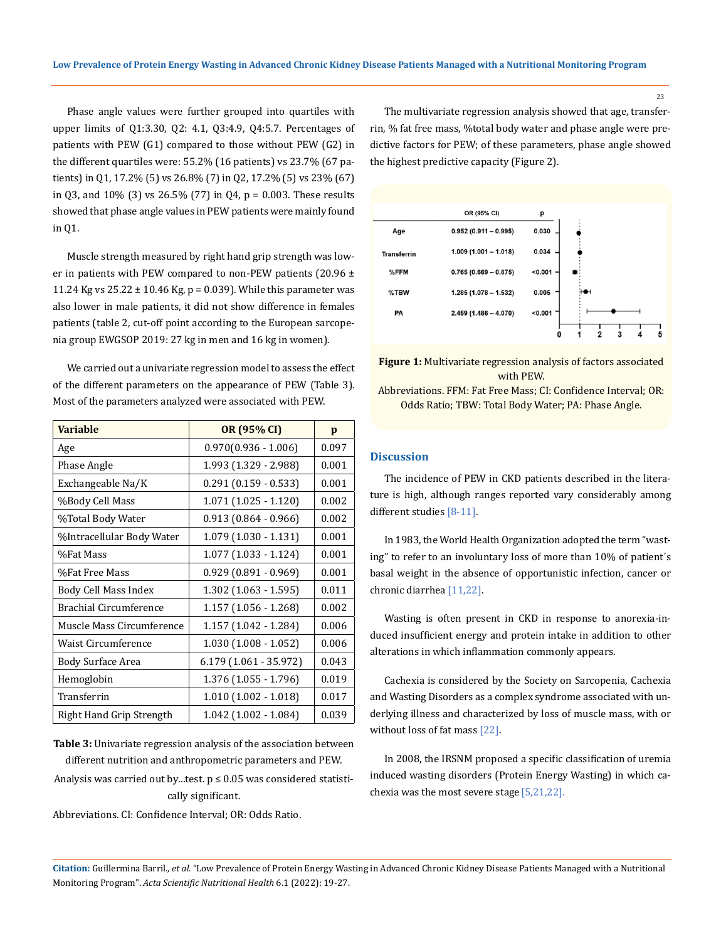Phase angle values were further grouped into quartiles with upper limits of Q1:3.30, Q2: 4.1, Q3:4.9, Q4:5.7. Percentages of patients with PEW (G1) compared to those without PEW (G2) in the different quartiles were: 55.2% (16 patients) vs 23.7% (67 patients) in Q1, 17.2% (5) vs 26.8% (7) in Q2, 17.2% (5) vs 23% (67) in Q3, and 10% (3) vs 26.5% (77) in Q4, p = 0.003. These results showed that phase angle values in PEW patients were mainly found in Q1.

Muscle strength measured by right hand grip strength was lower in patients with PEW compared to non-PEW patients (20.96  $\pm$ 11.24 Kg vs  $25.22 \pm 10.46$  Kg, p = 0.039). While this parameter was also lower in male patients, it did not show difference in females patients (table 2, cut-off point according to the European sarcopenia group EWGSOP 2019: 27 kg in men and 16 kg in women).

We carried out a univariate regression model to assess the effect of the different parameters on the appearance of PEW (Table 3). Most of the parameters analyzed were associated with PEW.

| <b>Variable</b>               | OR (95% CI)             | p     |
|-------------------------------|-------------------------|-------|
| Age                           | $0.970(0.936 - 1.006)$  | 0.097 |
| Phase Angle                   | 1.993 (1.329 - 2.988)   | 0.001 |
| Exchangeable Na/K             | $0.291(0.159 - 0.533)$  | 0.001 |
| %Body Cell Mass               | $1.071(1.025 - 1.120)$  | 0.002 |
| %Total Body Water             | $0.913(0.864 - 0.966)$  | 0.002 |
| %Intracellular Body Water     | $1.079(1.030 - 1.131)$  | 0.001 |
| %Fat Mass                     | $1.077(1.033 - 1.124)$  | 0.001 |
| %Fat Free Mass                | $0.929(0.891 - 0.969)$  | 0.001 |
| Body Cell Mass Index          | $1.302$ (1.063 - 1.595) | 0.011 |
| <b>Brachial Circumference</b> | 1.157 (1.056 - 1.268)   | 0.002 |
| Muscle Mass Circumference     | 1.157 (1.042 - 1.284)   | 0.006 |
| <b>Waist Circumference</b>    | $1.030(1.008 - 1.052)$  | 0.006 |
| <b>Body Surface Area</b>      | $6.179(1.061 - 35.972)$ | 0.043 |
| Hemoglobin                    | 1.376 (1.055 - 1.796)   | 0.019 |
| Transferrin                   | $1.010(1.002 - 1.018)$  | 0.017 |
| Right Hand Grip Strength      | $1.042$ (1.002 - 1.084) | 0.039 |

**Table 3:** Univariate regression analysis of the association between different nutrition and anthropometric parameters and PEW.

Analysis was carried out by...test.  $p \leq 0.05$  was considered statistically significant.

Abbreviations. CI: Confidence Interval; OR: Odds Ratio.

The multivariate regression analysis showed that age, transferrin, % fat free mass, %total body water and phase angle were predictive factors for PEW; of these parameters, phase angle showed the highest predictive capacity (Figure 2).



**Figure 1:** Multivariate regression analysis of factors associated with PEW.

Abbreviations. FFM: Fat Free Mass; CI: Confidence Interval; OR: Odds Ratio; TBW: Total Body Water; PA: Phase Angle.

# **Discussion**

The incidence of PEW in CKD patients described in the literature is high, although ranges reported vary considerably among different studies [8-11].

In 1983, the World Health Organization adopted the term "wasting" to refer to an involuntary loss of more than 10% of patient´s basal weight in the absence of opportunistic infection, cancer or chronic diarrhea [11,22].

Wasting is often present in CKD in response to anorexia-induced insufficient energy and protein intake in addition to other alterations in which inflammation commonly appears.

Cachexia is considered by the Society on Sarcopenia, Cachexia and Wasting Disorders as a complex syndrome associated with underlying illness and characterized by loss of muscle mass, with or without loss of fat mass [22].

In 2008, the IRSNM proposed a specific classification of uremia induced wasting disorders (Protein Energy Wasting) in which cachexia was the most severe stage [5,21,22].

**Citation:** Guillermina Barril*., et al.* "Low Prevalence of Protein Energy Wasting in Advanced Chronic Kidney Disease Patients Managed with a Nutritional Monitoring Program". *Acta Scientific Nutritional Health* 6.1 (2022): 19-27.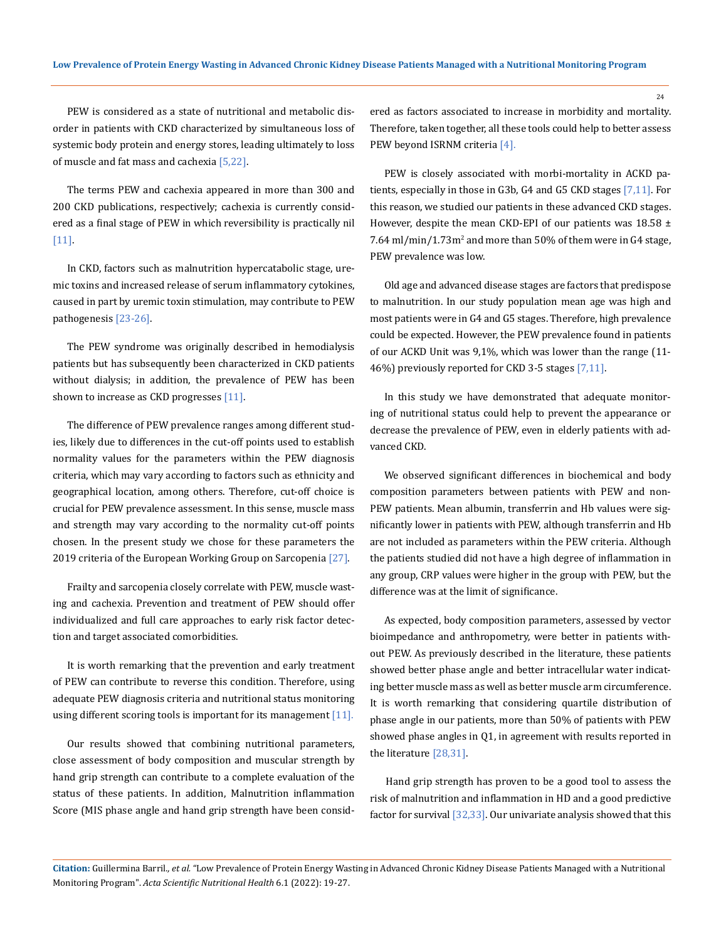PEW is considered as a state of nutritional and metabolic disorder in patients with CKD characterized by simultaneous loss of systemic body protein and energy stores, leading ultimately to loss of muscle and fat mass and cachexia [5,22].

The terms PEW and cachexia appeared in more than 300 and 200 CKD publications, respectively; cachexia is currently considered as a final stage of PEW in which reversibility is practically nil [11].

In CKD, factors such as malnutrition hypercatabolic stage, uremic toxins and increased release of serum inflammatory cytokines, caused in part by uremic toxin stimulation, may contribute to PEW pathogenesis [23-26].

The PEW syndrome was originally described in hemodialysis patients but has subsequently been characterized in CKD patients without dialysis; in addition, the prevalence of PEW has been shown to increase as CKD progresses [11].

The difference of PEW prevalence ranges among different studies, likely due to differences in the cut-off points used to establish normality values for the parameters within the PEW diagnosis criteria, which may vary according to factors such as ethnicity and geographical location, among others. Therefore, cut-off choice is crucial for PEW prevalence assessment. In this sense, muscle mass and strength may vary according to the normality cut-off points chosen. In the present study we chose for these parameters the 2019 criteria of the European Working Group on Sarcopenia [27].

Frailty and sarcopenia closely correlate with PEW, muscle wasting and cachexia. Prevention and treatment of PEW should offer individualized and full care approaches to early risk factor detection and target associated comorbidities.

It is worth remarking that the prevention and early treatment of PEW can contribute to reverse this condition. Therefore, using adequate PEW diagnosis criteria and nutritional status monitoring using different scoring tools is important for its management  $[11]$ .

Our results showed that combining nutritional parameters, close assessment of body composition and muscular strength by hand grip strength can contribute to a complete evaluation of the status of these patients. In addition, Malnutrition inflammation Score (MIS phase angle and hand grip strength have been considered as factors associated to increase in morbidity and mortality. Therefore, taken together, all these tools could help to better assess PEW beyond ISRNM criteria [4].

PEW is closely associated with morbi-mortality in ACKD patients, especially in those in G3b, G4 and G5 CKD stages [7,11]. For this reason, we studied our patients in these advanced CKD stages. However, despite the mean CKD-EPI of our patients was  $18.58 \pm$  $7.64\,\mathrm{ml/min}/1.73\mathrm{m}^2$  and more than  $50\%$  of them were in  $G4$  stage, PEW prevalence was low.

Old age and advanced disease stages are factors that predispose to malnutrition. In our study population mean age was high and most patients were in G4 and G5 stages. Therefore, high prevalence could be expected. However, the PEW prevalence found in patients of our ACKD Unit was 9,1%, which was lower than the range (11- 46%) previously reported for CKD 3-5 stages [7,11].

In this study we have demonstrated that adequate monitoring of nutritional status could help to prevent the appearance or decrease the prevalence of PEW, even in elderly patients with advanced CKD.

We observed significant differences in biochemical and body composition parameters between patients with PEW and non-PEW patients. Mean albumin, transferrin and Hb values were significantly lower in patients with PEW, although transferrin and Hb are not included as parameters within the PEW criteria. Although the patients studied did not have a high degree of inflammation in any group, CRP values were higher in the group with PEW, but the difference was at the limit of significance.

As expected, body composition parameters, assessed by vector bioimpedance and anthropometry, were better in patients without PEW. As previously described in the literature, these patients showed better phase angle and better intracellular water indicating better muscle mass as well as better muscle arm circumference. It is worth remarking that considering quartile distribution of phase angle in our patients, more than 50% of patients with PEW showed phase angles in Q1, in agreement with results reported in the literature [28,31].

Hand grip strength has proven to be a good tool to assess the risk of malnutrition and inflammation in HD and a good predictive factor for survival [32,33]. Our univariate analysis showed that this

**Citation:** Guillermina Barril*., et al.* "Low Prevalence of Protein Energy Wasting in Advanced Chronic Kidney Disease Patients Managed with a Nutritional Monitoring Program". *Acta Scientific Nutritional Health* 6.1 (2022): 19-27.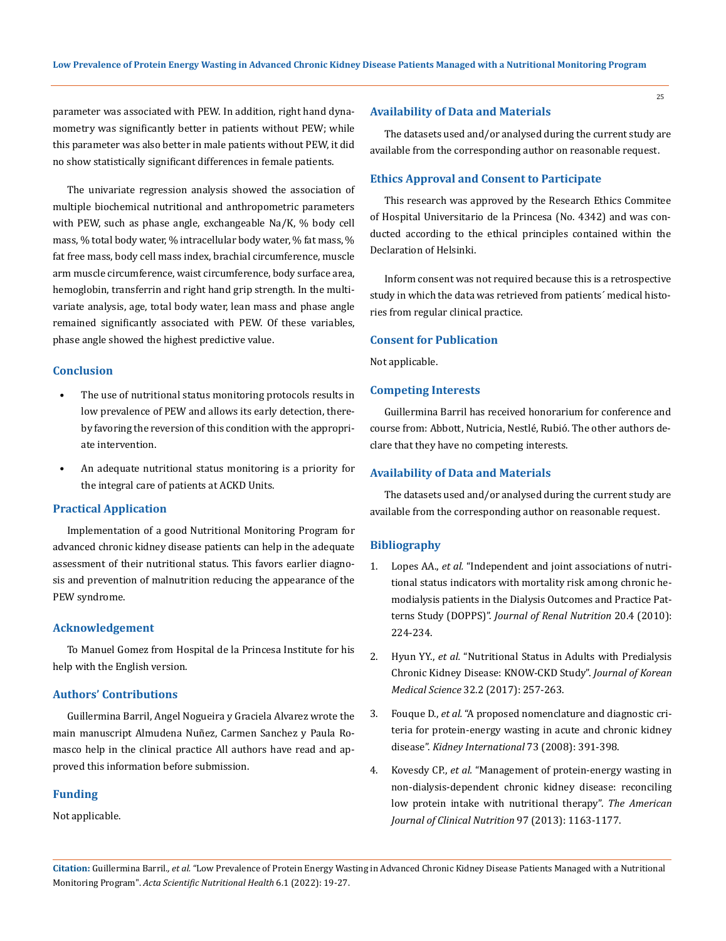parameter was associated with PEW. In addition, right hand dynamometry was significantly better in patients without PEW; while this parameter was also better in male patients without PEW, it did no show statistically significant differences in female patients.

The univariate regression analysis showed the association of multiple biochemical nutritional and anthropometric parameters with PEW, such as phase angle, exchangeable Na/K, % body cell mass, % total body water, % intracellular body water, % fat mass, % fat free mass, body cell mass index, brachial circumference, muscle arm muscle circumference, waist circumference, body surface area, hemoglobin, transferrin and right hand grip strength. In the multivariate analysis, age, total body water, lean mass and phase angle remained significantly associated with PEW. Of these variables, phase angle showed the highest predictive value.

## **Conclusion**

- The use of nutritional status monitoring protocols results in low prevalence of PEW and allows its early detection, thereby favoring the reversion of this condition with the appropriate intervention.
- An adequate nutritional status monitoring is a priority for the integral care of patients at ACKD Units.

# **Practical Application**

Implementation of a good Nutritional Monitoring Program for advanced chronic kidney disease patients can help in the adequate assessment of their nutritional status. This favors earlier diagnosis and prevention of malnutrition reducing the appearance of the PEW syndrome.

## **Acknowledgement**

To Manuel Gomez from Hospital de la Princesa Institute for his help with the English version.

### **Authors' Contributions**

Guillermina Barril, Angel Nogueira y Graciela Alvarez wrote the main manuscript Almudena Nuñez, Carmen Sanchez y Paula Romasco help in the clinical practice All authors have read and approved this information before submission.

#### **Funding**

Not applicable.

#### **Availability of Data and Materials**

The datasets used and/or analysed during the current study are available from the corresponding author on reasonable request.

#### **Ethics Approval and Consent to Participate**

This research was approved by the Research Ethics Commitee of Hospital Universitario de la Princesa (No. 4342) and was conducted according to the ethical principles contained within the Declaration of Helsinki.

Inform consent was not required because this is a retrospective study in which the data was retrieved from patients´ medical histories from regular clinical practice.

## **Consent for Publication**

Not applicable.

## **Competing Interests**

Guillermina Barril has received honorarium for conference and course from: Abbott, Nutricia, Nestlé, Rubió. The other authors declare that they have no competing interests.

### **Availability of Data and Materials**

The datasets used and/or analysed during the current study are available from the corresponding author on reasonable request.

#### **Bibliography**

- 1. Lopes AA., *et al.* ["Independent and joint associations of nutri](https://pubmed.ncbi.nlm.nih.gov/20060319/)[tional status indicators with mortality risk among chronic he](https://pubmed.ncbi.nlm.nih.gov/20060319/)[modialysis patients in the Dialysis Outcomes and Practice Pat](https://pubmed.ncbi.nlm.nih.gov/20060319/)terns Study (DOPPS)". *[Journal of Renal Nutrition](https://pubmed.ncbi.nlm.nih.gov/20060319/)* 20.4 (2010): [224-234.](https://pubmed.ncbi.nlm.nih.gov/20060319/)
- 2. Hyun YY., *et al.* ["Nutritional Status in Adults with Predialysis](https://pubmed.ncbi.nlm.nih.gov/28049236/) [Chronic Kidney Disease: KNOW-CKD Study".](https://pubmed.ncbi.nlm.nih.gov/28049236/) *Journal of Korean Medical Science* [32.2 \(2017\): 257-263.](https://pubmed.ncbi.nlm.nih.gov/28049236/)
- 3. Fouque D., *et al.* ["A proposed nomenclature and diagnostic cri](https://pubmed.ncbi.nlm.nih.gov/18094682/)[teria for protein-energy wasting in acute and chronic kidney](https://pubmed.ncbi.nlm.nih.gov/18094682/) disease". *[Kidney International](https://pubmed.ncbi.nlm.nih.gov/18094682/)* 73 (2008): 391-398.
- 4. Kovesdy CP., *et al.* ["Management of protein-energy wasting in](https://pubmed.ncbi.nlm.nih.gov/23636234/)  [non-dialysis-dependent chronic kidney disease: reconciling](https://pubmed.ncbi.nlm.nih.gov/23636234/)  [low protein intake with nutritional therapy".](https://pubmed.ncbi.nlm.nih.gov/23636234/) *The American Journal of Clinical Nutrition* [97 \(2013\): 1163-1177.](https://pubmed.ncbi.nlm.nih.gov/23636234/)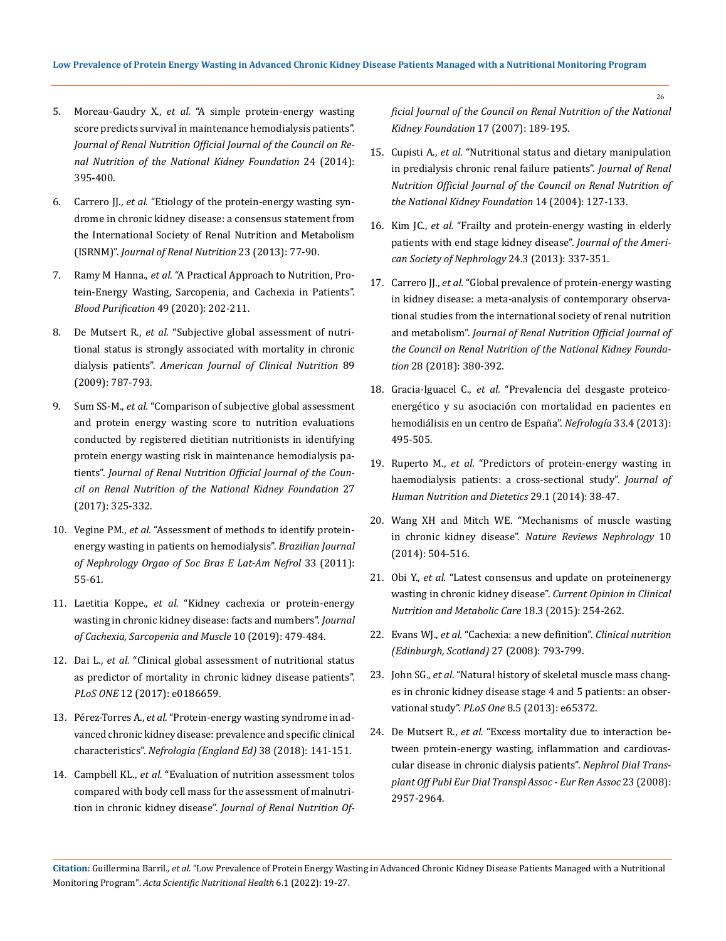- 5. Moreau-Gaudry X., *et al.* ["A simple protein-energy wasting](https://pubmed.ncbi.nlm.nih.gov/25194620/)  [score predicts survival in maintenance hemodialysis patients".](https://pubmed.ncbi.nlm.nih.gov/25194620/)  *[Journal of Renal Nutrition Official Journal of the Council](https://pubmed.ncbi.nlm.nih.gov/25194620/) on Re[nal Nutrition of the National Kidney Foundation](https://pubmed.ncbi.nlm.nih.gov/25194620/)* 24 (2014): [395-400.](https://pubmed.ncbi.nlm.nih.gov/25194620/)
- 6. Carrero JJ., *et al.* ["Etiology of the protein-energy wasting syn](https://pubmed.ncbi.nlm.nih.gov/23428357/)[drome in chronic kidney disease: a consensus statement from](https://pubmed.ncbi.nlm.nih.gov/23428357/)  [the International Society of Renal Nutrition and Metabolism](https://pubmed.ncbi.nlm.nih.gov/23428357/)  (ISRNM)". *[Journal of Renal Nutrition](https://pubmed.ncbi.nlm.nih.gov/23428357/)* 23 (2013): 77-90.
- 7. Ramy M Hanna., *et al.* ["A Practical Approach to Nutrition, Pro](https://pubmed.ncbi.nlm.nih.gov/31851983/)[tein-Energy Wasting, Sarcopenia, and Cachexia in Patients".](https://pubmed.ncbi.nlm.nih.gov/31851983/)  *[Blood Purification](https://pubmed.ncbi.nlm.nih.gov/31851983/)* 49 (2020): 202-211.
- 8. De Mutsert R., *et al.* ["Subjective global assessment of nutri](https://pubmed.ncbi.nlm.nih.gov/19144733/)[tional status is strongly associated with mortality in chronic](https://pubmed.ncbi.nlm.nih.gov/19144733/)  dialysis patients". *[American Journal of Clinical Nutrition](https://pubmed.ncbi.nlm.nih.gov/19144733/)* 89 [\(2009\): 787-793.](https://pubmed.ncbi.nlm.nih.gov/19144733/)
- 9. Sum SS-M., *et al.* ["Comparison of subjective global assessment](https://pubmed.ncbi.nlm.nih.gov/28600134/)  [and protein energy wasting score to nutrition evaluations](https://pubmed.ncbi.nlm.nih.gov/28600134/)  [conducted by registered dietitian nutritionists in identifying](https://pubmed.ncbi.nlm.nih.gov/28600134/)  [protein energy wasting risk in maintenance hemodialysis pa](https://pubmed.ncbi.nlm.nih.gov/28600134/)tients". *[Journal of Renal Nutrition Official Journal of the Coun](https://pubmed.ncbi.nlm.nih.gov/28600134/)[cil on Renal Nutrition of the National Kidney Foundation](https://pubmed.ncbi.nlm.nih.gov/28600134/)* 27 [\(2017\): 325-332.](https://pubmed.ncbi.nlm.nih.gov/28600134/)
- 10. Vegine PM., *et al.* ["Assessment of methods to identify protein](https://pubmed.ncbi.nlm.nih.gov/21541464/)[energy wasting in patients on hemodialysis".](https://pubmed.ncbi.nlm.nih.gov/21541464/) *Brazilian Journal [of Nephrology Orgao of Soc Bras E Lat-Am Nefrol](https://pubmed.ncbi.nlm.nih.gov/21541464/)* 33 (2011): [55-61.](https://pubmed.ncbi.nlm.nih.gov/21541464/)
- 11. Laetitia Koppe., *et al.* ["Kidney cachexia or protein-energy](https://pubmed.ncbi.nlm.nih.gov/30977979/)  [wasting in chronic kidney disease: facts and numbers".](https://pubmed.ncbi.nlm.nih.gov/30977979/) *Journal [of Cachexia, Sarcopenia and Muscle](https://pubmed.ncbi.nlm.nih.gov/30977979/)* 10 (2019): 479-484.
- 12. Dai L., *et al.* ["Clinical global assessment of nutritional status](https://pubmed.ncbi.nlm.nih.gov/29211778/)  [as predictor of mortality in chronic kidney disease patients".](https://pubmed.ncbi.nlm.nih.gov/29211778/)  *PLoS ONE* [12 \(2017\): e0186659.](https://pubmed.ncbi.nlm.nih.gov/29211778/)
- 13. Pérez-Torres A., *et al.* ["Protein-energy wasting syndrome in ad](https://pubmed.ncbi.nlm.nih.gov/28755901/)[vanced chronic kidney disease: prevalence and specific clinical](https://pubmed.ncbi.nlm.nih.gov/28755901/)  characteristics". *[Nefrologia \(England Ed\)](https://pubmed.ncbi.nlm.nih.gov/28755901/)* 38 (2018): 141-151.
- 14. Campbell KL., *et al.* ["Evaluation of nutrition assessment tolos](https://pubmed.ncbi.nlm.nih.gov/17462551/)  [compared with body cell mass for the assessment of malnutri](https://pubmed.ncbi.nlm.nih.gov/17462551/)tion in chronic kidney disease". *[Journal of Renal Nutrition](https://pubmed.ncbi.nlm.nih.gov/17462551/) Of-*

*[ficial Journal of the Council on Renal Nutrition of the National](https://pubmed.ncbi.nlm.nih.gov/17462551/) [Kidney Foundation](https://pubmed.ncbi.nlm.nih.gov/17462551/)* 17 (2007): 189-195.

- 15. Cupisti A., *et al.* ["Nutritional status and dietary manipulation](https://pubmed.ncbi.nlm.nih.gov/15232790/) [in predialysis chronic renal failure patients".](https://pubmed.ncbi.nlm.nih.gov/15232790/) *Journal of Renal [Nutrition Official Journal of the Council on Renal Nutrition of](https://pubmed.ncbi.nlm.nih.gov/15232790/) [the National Kidney Foundation](https://pubmed.ncbi.nlm.nih.gov/15232790/)* 14 (2004): 127-133.
- 16. Kim JC., *et al.* ["Frailty and protein-energy wasting in elderly](https://pubmed.ncbi.nlm.nih.gov/23264684/) [patients with end stage kidney disease".](https://pubmed.ncbi.nlm.nih.gov/23264684/) *Journal of the Ameri[can Society of Nephrology](https://pubmed.ncbi.nlm.nih.gov/23264684/)* 24.3 (2013): 337-351.
- 17. Carrero JJ., *et al.* ["Global prevalence of protein-energy wasting](https://pubmed.ncbi.nlm.nih.gov/30348259/) [in kidney disease: a meta-analysis of contemporary observa](https://pubmed.ncbi.nlm.nih.gov/30348259/)[tional studies from the international society of renal nutrition](https://pubmed.ncbi.nlm.nih.gov/30348259/) and metabolism". *[Journal of Renal Nutrition Official Journal of](https://pubmed.ncbi.nlm.nih.gov/30348259/) [the Council on Renal Nutrition of the National Kidney Founda](https://pubmed.ncbi.nlm.nih.gov/30348259/)tion* [28 \(2018\): 380-392.](https://pubmed.ncbi.nlm.nih.gov/30348259/)
- 18. Gracia-Iguacel C., *et al.* ["Prevalencia del desgaste proteico](https://www.revistanefrologia.com/es-prevalencia-del-sindrome-desgaste-proteico-energetico-articulo-X021169951305289X)[energético y su asociación con mortalidad en pacientes en](https://www.revistanefrologia.com/es-prevalencia-del-sindrome-desgaste-proteico-energetico-articulo-X021169951305289X) [hemodiálisis en un centro de España".](https://www.revistanefrologia.com/es-prevalencia-del-sindrome-desgaste-proteico-energetico-articulo-X021169951305289X) *Nefrología* 33.4 (2013): [495-505.](https://www.revistanefrologia.com/es-prevalencia-del-sindrome-desgaste-proteico-energetico-articulo-X021169951305289X)
- 19. Ruperto M., *et al.* ["Predictors of protein-energy wasting in](https://pubmed.ncbi.nlm.nih.gov/25257462/) [haemodialysis patients: a cross-sectional study".](https://pubmed.ncbi.nlm.nih.gov/25257462/) *Journal of [Human Nutrition and Dietetics](https://pubmed.ncbi.nlm.nih.gov/25257462/)* 29.1 (2014): 38-47.
- 20. [Wang XH and Mitch WE. "Mechanisms of muscle wasting](https://pubmed.ncbi.nlm.nih.gov/24981816/) [in chronic kidney disease".](https://pubmed.ncbi.nlm.nih.gov/24981816/) *Nature Reviews Nephrology* 10 [\(2014\): 504-516.](https://pubmed.ncbi.nlm.nih.gov/24981816/)
- 21. Obi Y., *et al.* ["Latest consensus and update on proteinenergy](https://pubmed.ncbi.nlm.nih.gov/25807354/) [wasting in chronic kidney disease".](https://pubmed.ncbi.nlm.nih.gov/25807354/) *Current Opinion in Clinical [Nutrition and Metabolic Care](https://pubmed.ncbi.nlm.nih.gov/25807354/)* 18.3 (2015): 254-262.
- 22. Evans WJ., *et al.* ["Cachexia: a new definition".](https://pubmed.ncbi.nlm.nih.gov/18718696/) *Clinical nutrition [\(Edinburgh, Scotland\)](https://pubmed.ncbi.nlm.nih.gov/18718696/)* 27 (2008): 793-799.
- 23. John SG., *et al.* ["Natural history of skeletal muscle mass chang](https://pubmed.ncbi.nlm.nih.gov/23741490/)[es in chronic kidney disease stage 4 and 5 patients: an obser](https://pubmed.ncbi.nlm.nih.gov/23741490/)vational study". *PLoS One* [8.5 \(2013\): e65372.](https://pubmed.ncbi.nlm.nih.gov/23741490/)
- 24. De Mutsert R., *et al.* ["Excess mortality due to interaction be](https://pubmed.ncbi.nlm.nih.gov/18400817/)[tween protein-energy wasting, inflammation and cardiovas](https://pubmed.ncbi.nlm.nih.gov/18400817/)[cular disease in chronic dialysis patients".](https://pubmed.ncbi.nlm.nih.gov/18400817/) *Nephrol Dial Trans[plant Off Publ Eur Dial Transpl Assoc - Eur Ren Assoc](https://pubmed.ncbi.nlm.nih.gov/18400817/)* 23 (2008): [2957-2964.](https://pubmed.ncbi.nlm.nih.gov/18400817/)

**Citation:** Guillermina Barril*., et al.* "Low Prevalence of Protein Energy Wasting in Advanced Chronic Kidney Disease Patients Managed with a Nutritional Monitoring Program". *Acta Scientific Nutritional Health* 6.1 (2022): 19-27.